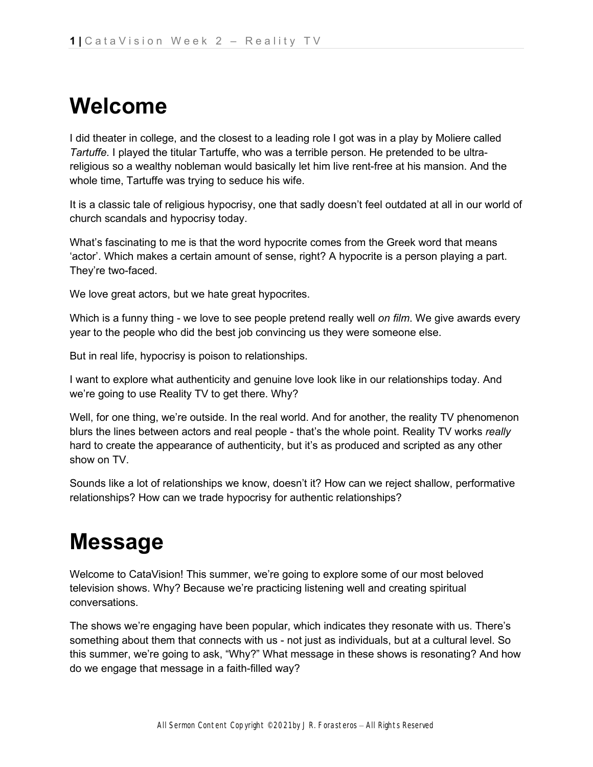## **Welcome**

I did theater in college, and the closest to a leading role I got was in a play by Moliere called *Tartuffe*. I played the titular Tartuffe, who was a terrible person. He pretended to be ultrareligious so a wealthy nobleman would basically let him live rent-free at his mansion. And the whole time, Tartuffe was trying to seduce his wife.

It is a classic tale of religious hypocrisy, one that sadly doesn't feel outdated at all in our world of church scandals and hypocrisy today.

What's fascinating to me is that the word hypocrite comes from the Greek word that means 'actor'. Which makes a certain amount of sense, right? A hypocrite is a person playing a part. They're two-faced.

We love great actors, but we hate great hypocrites.

Which is a funny thing - we love to see people pretend really well *on film*. We give awards every year to the people who did the best job convincing us they were someone else.

But in real life, hypocrisy is poison to relationships.

I want to explore what authenticity and genuine love look like in our relationships today. And we're going to use Reality TV to get there. Why?

Well, for one thing, we're outside. In the real world. And for another, the reality TV phenomenon blurs the lines between actors and real people - that's the whole point. Reality TV works *really*  hard to create the appearance of authenticity, but it's as produced and scripted as any other show on TV.

Sounds like a lot of relationships we know, doesn't it? How can we reject shallow, performative relationships? How can we trade hypocrisy for authentic relationships?

# **Message**

Welcome to CataVision! This summer, we're going to explore some of our most beloved television shows. Why? Because we're practicing listening well and creating spiritual conversations.

The shows we're engaging have been popular, which indicates they resonate with us. There's something about them that connects with us - not just as individuals, but at a cultural level. So this summer, we're going to ask, "Why?" What message in these shows is resonating? And how do we engage that message in a faith-filled way?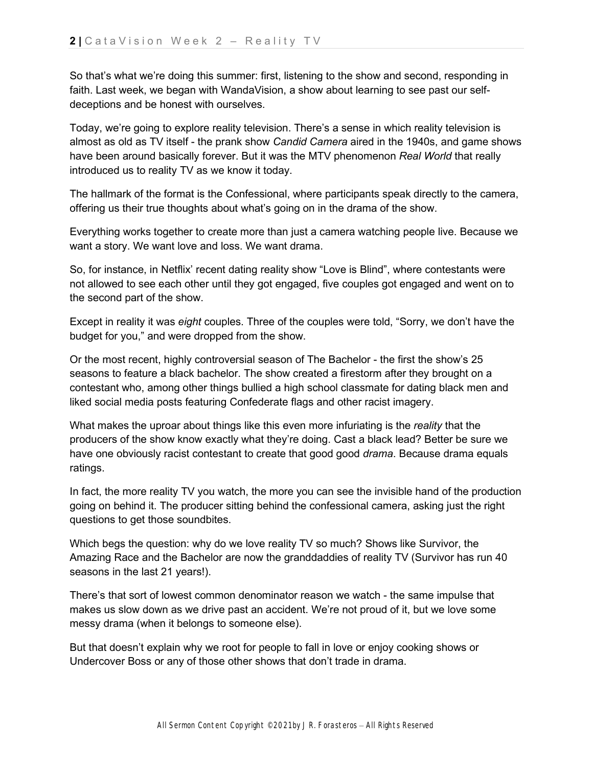So that's what we're doing this summer: first, listening to the show and second, responding in faith. Last week, we began with WandaVision, a show about learning to see past our selfdeceptions and be honest with ourselves.

Today, we're going to explore reality television. There's a sense in which reality television is almost as old as TV itself - the prank show *Candid Camera* aired in the 1940s, and game shows have been around basically forever. But it was the MTV phenomenon *Real World* that really introduced us to reality TV as we know it today.

The hallmark of the format is the Confessional, where participants speak directly to the camera, offering us their true thoughts about what's going on in the drama of the show.

Everything works together to create more than just a camera watching people live. Because we want a story. We want love and loss. We want drama.

So, for instance, in Netflix' recent dating reality show "Love is Blind", where contestants were not allowed to see each other until they got engaged, five couples got engaged and went on to the second part of the show.

Except in reality it was *eight* couples. Three of the couples were told, "Sorry, we don't have the budget for you," and were dropped from the show.

Or the most recent, highly controversial season of The Bachelor - the first the show's 25 seasons to feature a black bachelor. The show created a firestorm after they brought on a contestant who, among other things bullied a high school classmate for dating black men and liked social media posts featuring Confederate flags and other racist imagery.

What makes the uproar about things like this even more infuriating is the *reality* that the producers of the show know exactly what they're doing. Cast a black lead? Better be sure we have one obviously racist contestant to create that good good *drama*. Because drama equals ratings.

In fact, the more reality TV you watch, the more you can see the invisible hand of the production going on behind it. The producer sitting behind the confessional camera, asking just the right questions to get those soundbites.

Which begs the question: why do we love reality TV so much? Shows like Survivor, the Amazing Race and the Bachelor are now the granddaddies of reality TV (Survivor has run 40 seasons in the last 21 years!).

There's that sort of lowest common denominator reason we watch - the same impulse that makes us slow down as we drive past an accident. We're not proud of it, but we love some messy drama (when it belongs to someone else).

But that doesn't explain why we root for people to fall in love or enjoy cooking shows or Undercover Boss or any of those other shows that don't trade in drama.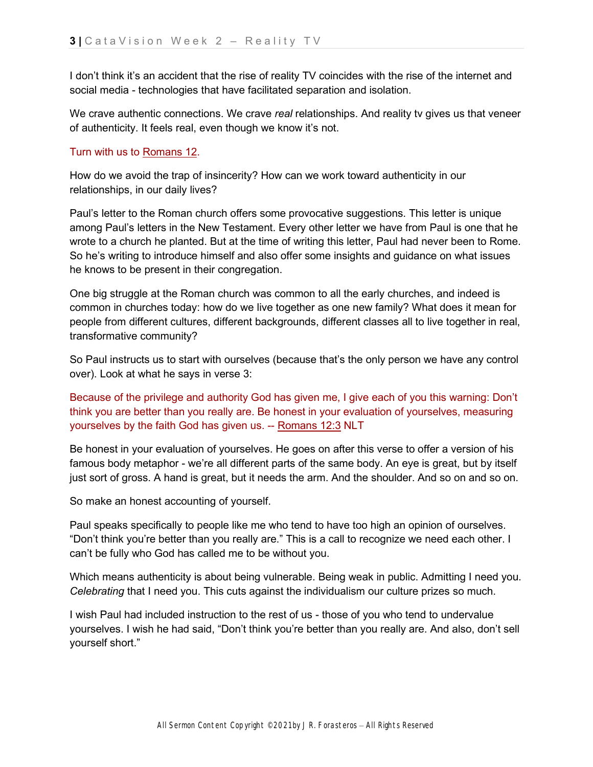I don't think it's an accident that the rise of reality TV coincides with the rise of the internet and social media - technologies that have facilitated separation and isolation.

We crave authentic connections. We crave *real* relationships. And reality tv gives us that veneer of authenticity. It feels real, even though we know it's not.

#### Turn with us t[o](https://ref.ly/logosref/bible.66.12) [Romans 12.](https://ref.ly/logosref/bible.66.12)

How do we avoid the trap of insincerity? How can we work toward authenticity in our relationships, in our daily lives?

Paul's letter to the Roman church offers some provocative suggestions. This letter is unique among Paul's letters in the New Testament. Every other letter we have from Paul is one that he wrote to a church he planted. But at the time of writing this letter, Paul had never been to Rome. So he's writing to introduce himself and also offer some insights and guidance on what issues he knows to be present in their congregation.

One big struggle at the Roman church was common to all the early churches, and indeed is common in churches today: how do we live together as one new family? What does it mean for people from different cultures, different backgrounds, different classes all to live together in real, transformative community?

So Paul instructs us to start with ourselves (because that's the only person we have any control over). Look at what he says in verse 3:

Because of the privilege and authority God has given me, I give each of you this warning: Don't think you are better than you really are. Be honest in your evaluation of yourselves, measuring yourselves by the faith God has given us. -- [Romans 12:3](https://ref.ly/logosres/LLS:1.0.171;ref=bible$2Bnlt.66.12.3) NLT

Be honest in your evaluation of yourselves. He goes on after this verse to offer a version of his famous body metaphor - we're all different parts of the same body. An eye is great, but by itself just sort of gross. A hand is great, but it needs the arm. And the shoulder. And so on and so on.

So make an honest accounting of yourself.

Paul speaks specifically to people like me who tend to have too high an opinion of ourselves. "Don't think you're better than you really are." This is a call to recognize we need each other. I can't be fully who God has called me to be without you.

Which means authenticity is about being vulnerable. Being weak in public. Admitting I need you. *Celebrating* that I need you. This cuts against the individualism our culture prizes so much.

I wish Paul had included instruction to the rest of us - those of you who tend to undervalue yourselves. I wish he had said, "Don't think you're better than you really are. And also, don't sell yourself short."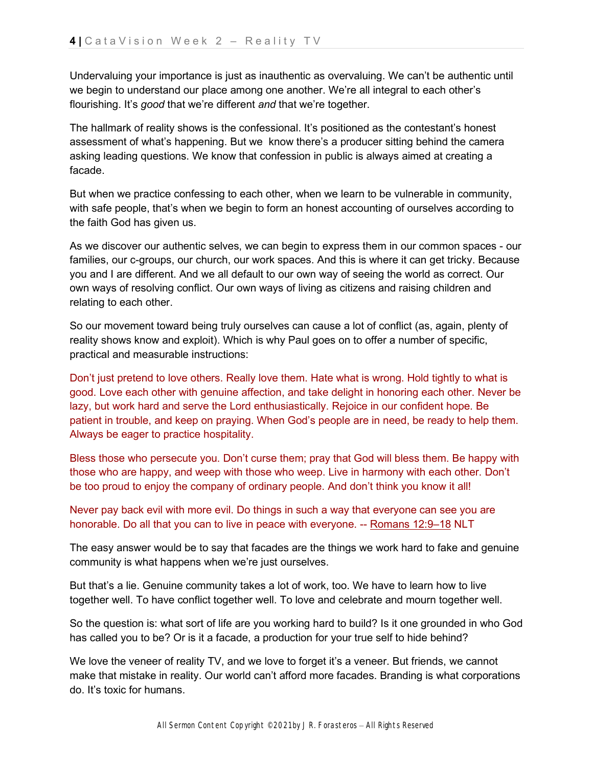Undervaluing your importance is just as inauthentic as overvaluing. We can't be authentic until we begin to understand our place among one another. We're all integral to each other's flourishing. It's *good* that we're different *and* that we're together.

The hallmark of reality shows is the confessional. It's positioned as the contestant's honest assessment of what's happening. But we know there's a producer sitting behind the camera asking leading questions. We know that confession in public is always aimed at creating a facade.

But when we practice confessing to each other, when we learn to be vulnerable in community, with safe people, that's when we begin to form an honest accounting of ourselves according to the faith God has given us.

As we discover our authentic selves, we can begin to express them in our common spaces - our families, our c-groups, our church, our work spaces. And this is where it can get tricky. Because you and I are different. And we all default to our own way of seeing the world as correct. Our own ways of resolving conflict. Our own ways of living as citizens and raising children and relating to each other.

So our movement toward being truly ourselves can cause a lot of conflict (as, again, plenty of reality shows know and exploit). Which is why Paul goes on to offer a number of specific, practical and measurable instructions:

Don't just pretend to love others. Really love them. Hate what is wrong. Hold tightly to what is good. Love each other with genuine affection, and take delight in honoring each other. Never be lazy, but work hard and serve the Lord enthusiastically. Rejoice in our confident hope. Be patient in trouble, and keep on praying. When God's people are in need, be ready to help them. Always be eager to practice hospitality.

Bless those who persecute you. Don't curse them; pray that God will bless them. Be happy with those who are happy, and weep with those who weep. Live in harmony with each other. Don't be too proud to enjoy the company of ordinary people. And don't think you know it all!

Never pay back evil with more evil. Do things in such a way that everyone can see you are honorable. Do all that you can to live in peace with everyone. -- [Romans 12:9–18](https://ref.ly/logosres/LLS:1.0.171;ref=bible$2Bnlt.66.12.9-66.12.18) NLT

The easy answer would be to say that facades are the things we work hard to fake and genuine community is what happens when we're just ourselves.

But that's a lie. Genuine community takes a lot of work, too. We have to learn how to live together well. To have conflict together well. To love and celebrate and mourn together well.

So the question is: what sort of life are you working hard to build? Is it one grounded in who God has called you to be? Or is it a facade, a production for your true self to hide behind?

We love the veneer of reality TV, and we love to forget it's a veneer. But friends, we cannot make that mistake in reality. Our world can't afford more facades. Branding is what corporations do. It's toxic for humans.